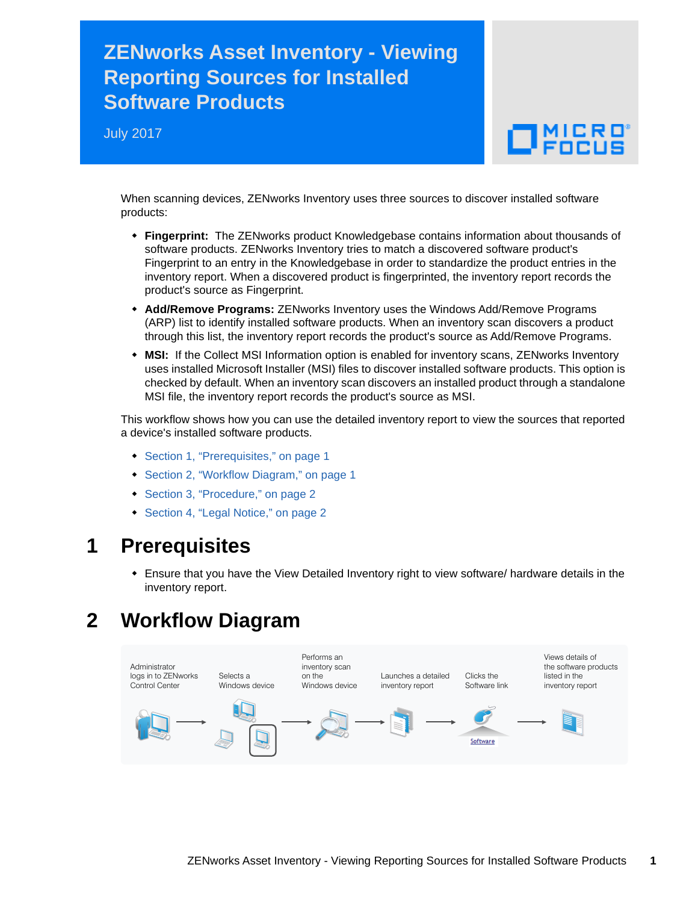# **ZENworks Asset Inventory - Viewing Reporting Sources for Installed Software Products**

July 2017

# $\Box$   $_{\rm FDCUS}$

When scanning devices, ZENworks Inventory uses three sources to discover installed software products:

- **Fingerprint:** The ZENworks product Knowledgebase contains information about thousands of software products. ZENworks Inventory tries to match a discovered software product's Fingerprint to an entry in the Knowledgebase in order to standardize the product entries in the inventory report. When a discovered product is fingerprinted, the inventory report records the product's source as Fingerprint.
- **Add/Remove Programs:** ZENworks Inventory uses the Windows Add/Remove Programs (ARP) list to identify installed software products. When an inventory scan discovers a product through this list, the inventory report records the product's source as Add/Remove Programs.
- **MSI:** If the Collect MSI Information option is enabled for inventory scans, ZENworks Inventory uses installed Microsoft Installer (MSI) files to discover installed software products. This option is checked by default. When an inventory scan discovers an installed product through a standalone MSI file, the inventory report records the product's source as MSI.

This workflow shows how you can use the detailed inventory report to view the sources that reported a device's installed software products.

- [Section 1, "Prerequisites," on page 1](#page-0-0)
- [Section 2, "Workflow Diagram," on page 1](#page-0-1)
- [Section 3, "Procedure," on page 2](#page-1-0)
- [Section 4, "Legal Notice," on page 2](#page-1-1)

#### <span id="page-0-0"></span>**1 Prerequisites**

 Ensure that you have the View Detailed Inventory right to view software/ hardware details in the inventory report.

## <span id="page-0-1"></span>**2 Workflow Diagram**